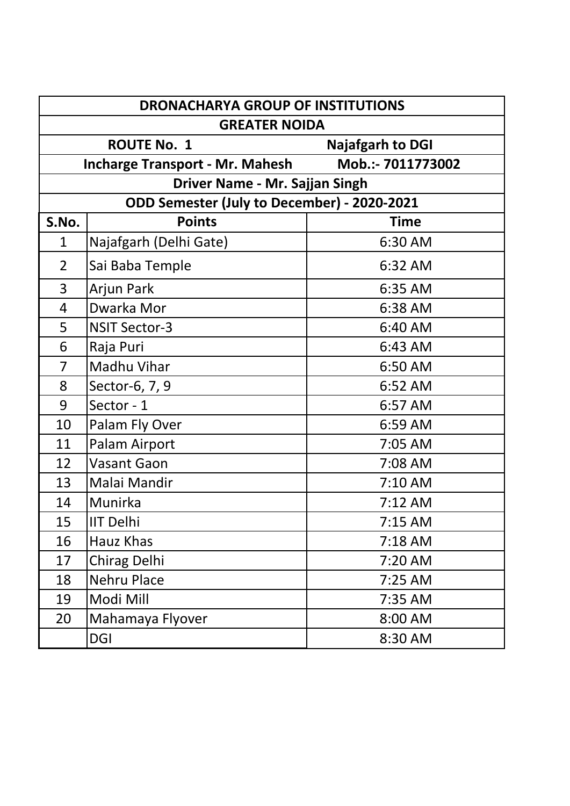| <b>DRONACHARYA GROUP OF INSTITUTIONS</b>      |                                             |                   |
|-----------------------------------------------|---------------------------------------------|-------------------|
| <b>GREATER NOIDA</b>                          |                                             |                   |
| <b>ROUTE No. 1</b><br><b>Najafgarh to DGI</b> |                                             |                   |
|                                               | <b>Incharge Transport - Mr. Mahesh</b>      | Mob.:- 7011773002 |
|                                               | Driver Name - Mr. Sajjan Singh              |                   |
|                                               | ODD Semester (July to December) - 2020-2021 |                   |
| S.No.                                         | <b>Points</b>                               | <b>Time</b>       |
| 1                                             | Najafgarh (Delhi Gate)                      | 6:30 AM           |
| $\overline{2}$                                | Sai Baba Temple                             | 6:32 AM           |
| 3                                             | Arjun Park                                  | 6:35 AM           |
| 4                                             | Dwarka Mor                                  | 6:38 AM           |
| 5                                             | <b>NSIT Sector-3</b>                        | 6:40 AM           |
| 6                                             | Raja Puri                                   | 6:43 AM           |
| 7                                             | Madhu Vihar                                 | 6:50 AM           |
| 8                                             | Sector-6, 7, 9                              | 6:52 AM           |
| 9                                             | Sector - 1                                  | 6:57 AM           |
| 10                                            | Palam Fly Over                              | 6:59 AM           |
| 11                                            | Palam Airport                               | 7:05 AM           |
| 12                                            | <b>Vasant Gaon</b>                          | 7:08 AM           |
| 13                                            | Malai Mandir                                | 7:10 AM           |
| 14                                            | Munirka                                     | $7:12$ AM         |
| 15                                            | <b>IIT Delhi</b>                            | 7:15 AM           |
| 16                                            | Hauz Khas                                   | 7:18 AM           |
| 17                                            | Chirag Delhi                                | 7:20 AM           |
| 18                                            | <b>Nehru Place</b>                          | $7:25$ AM         |
| 19                                            | Modi Mill                                   | 7:35 AM           |
| 20                                            | Mahamaya Flyover                            | 8:00 AM           |
|                                               | <b>DGI</b>                                  | 8:30 AM           |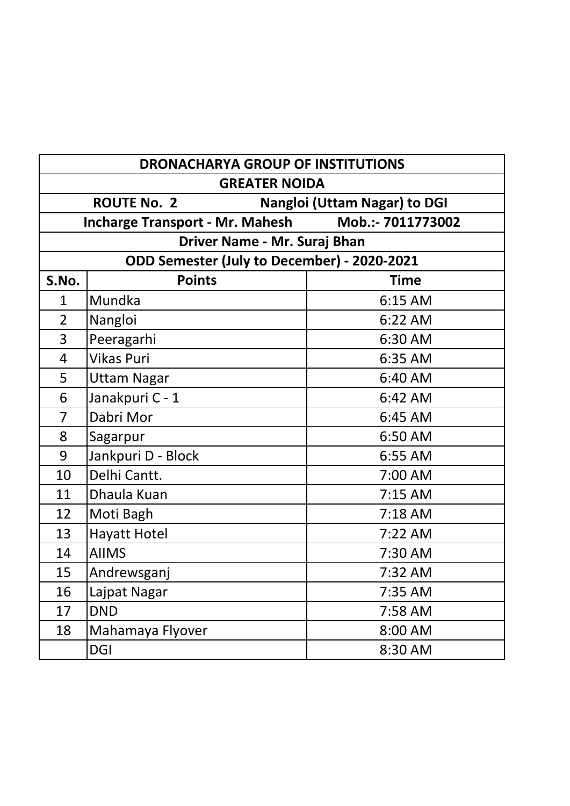| <b>DRONACHARYA GROUP OF INSTITUTIONS</b> |                                                           |                   |  |
|------------------------------------------|-----------------------------------------------------------|-------------------|--|
| <b>GREATER NOIDA</b>                     |                                                           |                   |  |
|                                          | <b>ROUTE No. 2</b><br><b>Nangloi (Uttam Nagar) to DGI</b> |                   |  |
|                                          | <b>Incharge Transport - Mr. Mahesh</b>                    | Mob.:- 7011773002 |  |
|                                          | Driver Name - Mr. Suraj Bhan                              |                   |  |
|                                          | ODD Semester (July to December) - 2020-2021               |                   |  |
| S.No.                                    | <b>Points</b>                                             | <b>Time</b>       |  |
| $\mathbf{1}$                             | Mundka                                                    | 6:15 AM           |  |
| $\overline{2}$                           | Nangloi                                                   | 6:22 AM           |  |
| 3                                        | Peeragarhi                                                | 6:30 AM           |  |
| $\overline{4}$                           | <b>Vikas Puri</b>                                         | 6:35 AM           |  |
| 5                                        | <b>Uttam Nagar</b>                                        | 6:40 AM           |  |
| 6                                        | Janakpuri C - 1                                           | 6:42 AM           |  |
| $\overline{7}$                           | Dabri Mor                                                 | 6:45 AM           |  |
| 8                                        | Sagarpur                                                  | 6:50 AM           |  |
| 9                                        | Jankpuri D - Block                                        | 6:55 AM           |  |
| 10                                       | Delhi Cantt.                                              | 7:00 AM           |  |
| 11                                       | Dhaula Kuan                                               | 7:15 AM           |  |
| 12                                       | Moti Bagh                                                 | 7:18 AM           |  |
| 13                                       | <b>Hayatt Hotel</b>                                       | 7:22 AM           |  |
| 14                                       | <b>AIIMS</b>                                              | 7:30 AM           |  |
| 15                                       | Andrewsganj                                               | 7:32 AM           |  |
| 16                                       | Lajpat Nagar                                              | 7:35 AM           |  |
| 17                                       | <b>DND</b>                                                | 7:58 AM           |  |
| 18                                       | Mahamaya Flyover                                          | 8:00 AM           |  |
|                                          | <b>DGI</b>                                                | 8:30 AM           |  |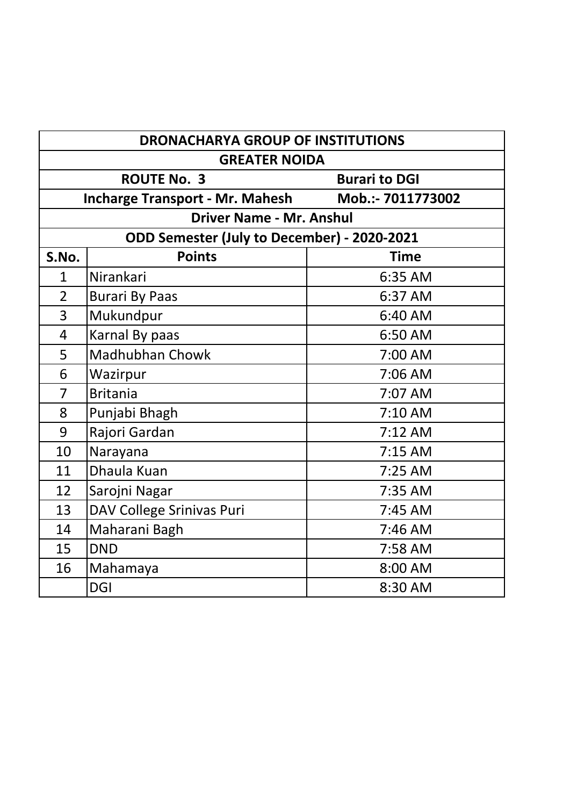| <b>DRONACHARYA GROUP OF INSTITUTIONS</b> |                                             |                      |
|------------------------------------------|---------------------------------------------|----------------------|
| <b>GREATER NOIDA</b>                     |                                             |                      |
|                                          | <b>ROUTE No. 3</b>                          | <b>Burari to DGI</b> |
|                                          | <b>Incharge Transport - Mr. Mahesh</b>      | Mob.:- 7011773002    |
|                                          | <b>Driver Name - Mr. Anshul</b>             |                      |
|                                          | ODD Semester (July to December) - 2020-2021 |                      |
| S.No.                                    | <b>Points</b>                               | <b>Time</b>          |
| $\mathbf{1}$                             | Nirankari                                   | 6:35 AM              |
| $\overline{2}$                           | <b>Burari By Paas</b>                       | 6:37 AM              |
| 3                                        | Mukundpur                                   | 6:40 AM              |
| $\overline{4}$                           | Karnal By paas                              | 6:50 AM              |
| 5                                        | <b>Madhubhan Chowk</b>                      | 7:00 AM              |
| 6                                        | Wazirpur                                    | 7:06 AM              |
| 7                                        | <b>Britania</b>                             | 7:07 AM              |
| 8                                        | Punjabi Bhagh                               | 7:10 AM              |
| 9                                        | Rajori Gardan                               | $7:12$ AM            |
| 10                                       | Narayana                                    | $7:15$ AM            |
| 11                                       | Dhaula Kuan                                 | 7:25 AM              |
| 12                                       | Sarojni Nagar                               | 7:35 AM              |
| 13                                       | DAV College Srinivas Puri                   | 7:45 AM              |
| 14                                       | Maharani Bagh                               | $7:46$ AM            |
| 15                                       | <b>DND</b>                                  | 7:58 AM              |
| 16                                       | Mahamaya                                    | 8:00 AM              |
|                                          | <b>DGI</b>                                  | 8:30 AM              |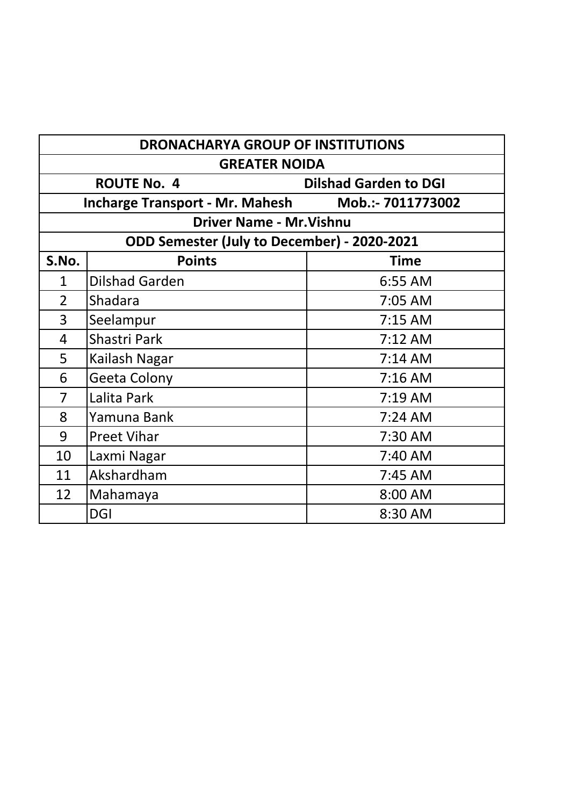| <b>DRONACHARYA GROUP OF INSTITUTIONS</b>           |                                                             |             |  |
|----------------------------------------------------|-------------------------------------------------------------|-------------|--|
| <b>GREATER NOIDA</b>                               |                                                             |             |  |
| <b>ROUTE No. 4</b><br><b>Dilshad Garden to DGI</b> |                                                             |             |  |
|                                                    | <b>Incharge Transport - Mr. Mahesh</b><br>Mob.:- 7011773002 |             |  |
| <b>Driver Name - Mr. Vishnu</b>                    |                                                             |             |  |
|                                                    | ODD Semester (July to December) - 2020-2021                 |             |  |
| S.No.                                              | <b>Points</b>                                               | <b>Time</b> |  |
| $\mathbf{1}$                                       | <b>Dilshad Garden</b>                                       | 6:55 AM     |  |
| $\overline{2}$                                     | Shadara                                                     | 7:05 AM     |  |
| 3                                                  | Seelampur                                                   | $7:15$ AM   |  |
| 4                                                  | Shastri Park                                                | $7:12$ AM   |  |
| 5                                                  | Kailash Nagar                                               | $7:14$ AM   |  |
| 6                                                  | <b>Geeta Colony</b>                                         | $7:16$ AM   |  |
| $\overline{7}$                                     | Lalita Park                                                 | 7:19 AM     |  |
| 8                                                  | Yamuna Bank                                                 | $7:24$ AM   |  |
| 9                                                  | <b>Preet Vihar</b>                                          | 7:30 AM     |  |
| 10                                                 | Laxmi Nagar                                                 | 7:40 AM     |  |
| 11                                                 | Akshardham                                                  | $7:45$ AM   |  |
| 12                                                 | Mahamaya                                                    | 8:00 AM     |  |
|                                                    | <b>DGI</b>                                                  | 8:30 AM     |  |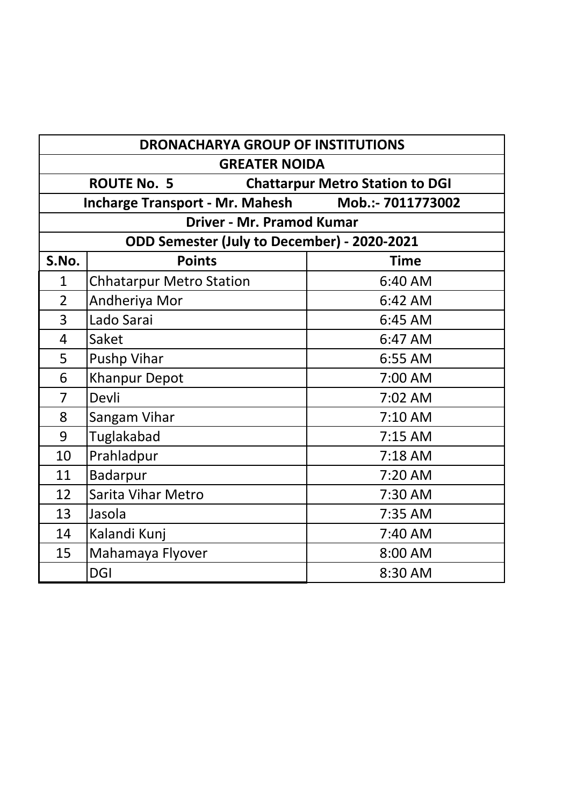| <b>DRONACHARYA GROUP OF INSTITUTIONS</b> |                                                              |                   |  |
|------------------------------------------|--------------------------------------------------------------|-------------------|--|
| <b>GREATER NOIDA</b>                     |                                                              |                   |  |
|                                          | <b>ROUTE No. 5</b><br><b>Chattarpur Metro Station to DGI</b> |                   |  |
|                                          | <b>Incharge Transport - Mr. Mahesh</b>                       | Mob.:- 7011773002 |  |
|                                          | <b>Driver - Mr. Pramod Kumar</b>                             |                   |  |
|                                          | ODD Semester (July to December) - 2020-2021                  |                   |  |
| S.No.                                    | <b>Points</b>                                                | <b>Time</b>       |  |
| $\mathbf{1}$                             | <b>Chhatarpur Metro Station</b>                              | 6:40 AM           |  |
| $\overline{2}$                           | Andheriya Mor                                                | 6:42 AM           |  |
| 3                                        | Lado Sarai                                                   | 6:45 AM           |  |
| $\overline{4}$                           | Saket                                                        | 6:47 AM           |  |
| 5                                        | <b>Pushp Vihar</b>                                           | 6:55 AM           |  |
| 6                                        | <b>Khanpur Depot</b>                                         | 7:00 AM           |  |
| 7                                        | Devli                                                        | 7:02 AM           |  |
| 8                                        | Sangam Vihar                                                 | 7:10 AM           |  |
| 9                                        | Tuglakabad                                                   | $7:15$ AM         |  |
| 10                                       | Prahladpur                                                   | $7:18$ AM         |  |
| 11                                       | Badarpur                                                     | $7:20$ AM         |  |
| 12                                       | <b>Sarita Vihar Metro</b>                                    | 7:30 AM           |  |
| 13                                       | Jasola                                                       | 7:35 AM           |  |
| 14                                       | Kalandi Kunj                                                 | 7:40 AM           |  |
| 15                                       | Mahamaya Flyover                                             | 8:00 AM           |  |
|                                          | <b>DGI</b>                                                   | 8:30 AM           |  |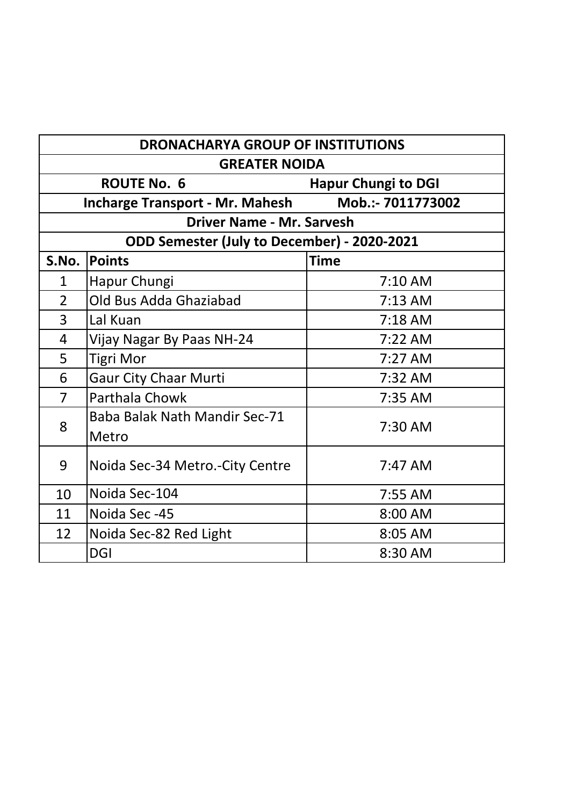| <b>DRONACHARYA GROUP OF INSTITUTIONS</b> |                                                  |                   |  |
|------------------------------------------|--------------------------------------------------|-------------------|--|
| <b>GREATER NOIDA</b>                     |                                                  |                   |  |
|                                          | <b>ROUTE No. 6</b><br><b>Hapur Chungi to DGI</b> |                   |  |
|                                          | <b>Incharge Transport - Mr. Mahesh</b>           | Mob.:- 7011773002 |  |
|                                          | <b>Driver Name - Mr. Sarvesh</b>                 |                   |  |
|                                          | ODD Semester (July to December) - 2020-2021      |                   |  |
| S.No.                                    | <b>Points</b>                                    | <b>Time</b>       |  |
| 1                                        | Hapur Chungi                                     | 7:10 AM           |  |
| $\overline{2}$                           | Old Bus Adda Ghaziabad                           | $7:13$ AM         |  |
| 3                                        | Lal Kuan                                         | $7:18$ AM         |  |
| 4                                        | Vijay Nagar By Paas NH-24                        | $7:22$ AM         |  |
| 5                                        | <b>Tigri Mor</b>                                 | $7:27$ AM         |  |
| 6                                        | <b>Gaur City Chaar Murti</b>                     | 7:32 AM           |  |
| $\overline{7}$                           | <b>Parthala Chowk</b>                            | 7:35 AM           |  |
| 8                                        | <b>Baba Balak Nath Mandir Sec-71</b><br>Metro    | 7:30 AM           |  |
| 9                                        | Noida Sec-34 Metro.-City Centre                  | $7:47$ AM         |  |
| 10                                       | Noida Sec-104                                    | 7:55 AM           |  |
| 11                                       | Noida Sec-45                                     | 8:00 AM           |  |
| 12                                       | Noida Sec-82 Red Light                           | 8:05 AM           |  |
|                                          | <b>DGI</b>                                       | 8:30 AM           |  |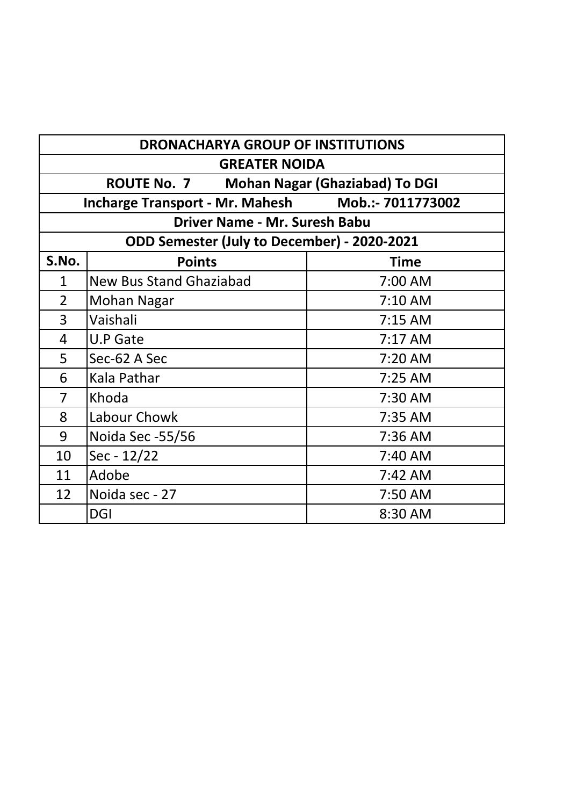| <b>DRONACHARYA GROUP OF INSTITUTIONS</b>                    |                                |             |
|-------------------------------------------------------------|--------------------------------|-------------|
| <b>GREATER NOIDA</b>                                        |                                |             |
| <b>ROUTE No. 7</b><br><b>Mohan Nagar (Ghaziabad) To DGI</b> |                                |             |
| Mob.:- 7011773002<br><b>Incharge Transport - Mr. Mahesh</b> |                                |             |
| <b>Driver Name - Mr. Suresh Babu</b>                        |                                |             |
| ODD Semester (July to December) - 2020-2021                 |                                |             |
| S.No.                                                       | <b>Points</b>                  | <b>Time</b> |
| $\mathbf{1}$                                                | <b>New Bus Stand Ghaziabad</b> | 7:00 AM     |
| 2                                                           | Mohan Nagar                    | 7:10 AM     |
| 3                                                           | Vaishali                       | $7:15$ AM   |
| 4                                                           | <b>U.P Gate</b>                | $7:17$ AM   |
| 5                                                           | Sec-62 A Sec                   | $7:20$ AM   |
| 6                                                           | Kala Pathar                    | 7:25 AM     |
| 7                                                           | Khoda                          | 7:30 AM     |
| 8                                                           | Labour Chowk                   | 7:35 AM     |
| 9                                                           | Noida Sec -55/56               | 7:36 AM     |
| 10                                                          | $Sec - 12/22$                  | 7:40 AM     |
| 11                                                          | Adobe                          | $7:42$ AM   |
| 12                                                          | Noida sec - 27                 | 7:50 AM     |
|                                                             | <b>DGI</b>                     | 8:30 AM     |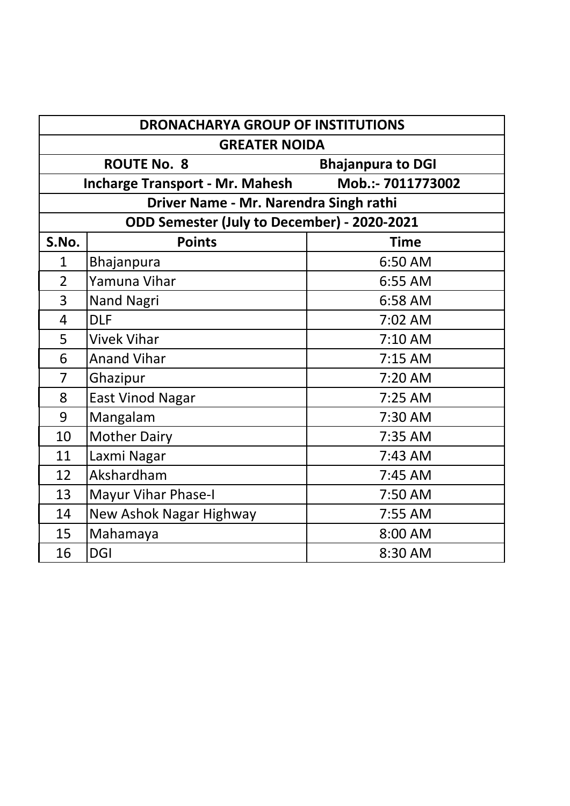| <b>DRONACHARYA GROUP OF INSTITUTIONS</b>       |                                             |                   |
|------------------------------------------------|---------------------------------------------|-------------------|
| <b>GREATER NOIDA</b>                           |                                             |                   |
| <b>ROUTE No. 8</b><br><b>Bhajanpura to DGI</b> |                                             |                   |
|                                                | <b>Incharge Transport - Mr. Mahesh</b>      | Mob.:- 7011773002 |
|                                                | Driver Name - Mr. Narendra Singh rathi      |                   |
|                                                | ODD Semester (July to December) - 2020-2021 |                   |
| S.No.                                          | <b>Points</b>                               | <b>Time</b>       |
| $\mathbf{1}$                                   | Bhajanpura                                  | 6:50 AM           |
| $\overline{2}$                                 | Yamuna Vihar                                | 6:55 AM           |
| 3                                              | <b>Nand Nagri</b>                           | 6:58 AM           |
| 4                                              | <b>DLF</b>                                  | 7:02 AM           |
| 5                                              | <b>Vivek Vihar</b>                          | $7:10$ AM         |
| 6                                              | <b>Anand Vihar</b>                          | $7:15$ AM         |
| $\overline{7}$                                 | Ghazipur                                    | 7:20 AM           |
| 8                                              | <b>East Vinod Nagar</b>                     | $7:25$ AM         |
| 9                                              | Mangalam                                    | 7:30 AM           |
| 10                                             | <b>Mother Dairy</b>                         | 7:35 AM           |
| 11                                             | Laxmi Nagar                                 | $7:43$ AM         |
| 12                                             | Akshardham                                  | $7:45$ AM         |
| 13                                             | <b>Mayur Vihar Phase-I</b>                  | 7:50 AM           |
| 14                                             | New Ashok Nagar Highway                     | 7:55 AM           |
| 15                                             | Mahamaya                                    | 8:00 AM           |
| 16                                             | <b>DGI</b>                                  | 8:30 AM           |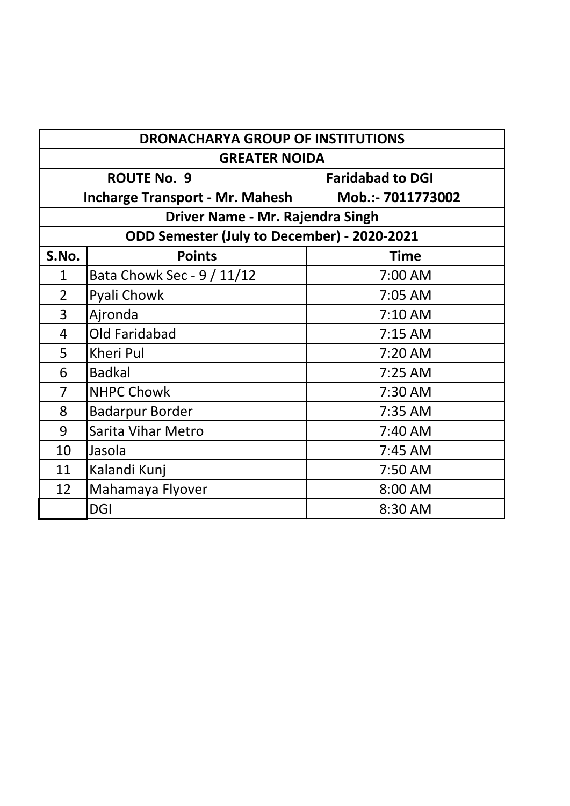| <b>DRONACHARYA GROUP OF INSTITUTIONS</b> |                                             |                         |
|------------------------------------------|---------------------------------------------|-------------------------|
| <b>GREATER NOIDA</b>                     |                                             |                         |
|                                          | <b>ROUTE No. 9</b>                          | <b>Faridabad to DGI</b> |
|                                          | <b>Incharge Transport - Mr. Mahesh</b>      | Mob.:- 7011773002       |
|                                          | Driver Name - Mr. Rajendra Singh            |                         |
|                                          | ODD Semester (July to December) - 2020-2021 |                         |
| S.No.                                    | <b>Points</b>                               | <b>Time</b>             |
| $\mathbf{1}$                             | Bata Chowk Sec - 9 / 11/12                  | 7:00 AM                 |
| $\overline{2}$                           | Pyali Chowk                                 | 7:05 AM                 |
| 3                                        | Ajronda                                     | 7:10 AM                 |
| $\overline{4}$                           | <b>Old Faridabad</b>                        | $7:15$ AM               |
| 5                                        | Kheri Pul                                   | 7:20 AM                 |
| 6                                        | <b>Badkal</b>                               | 7:25 AM                 |
| 7                                        | <b>NHPC Chowk</b>                           | 7:30 AM                 |
| 8                                        | <b>Badarpur Border</b>                      | 7:35 AM                 |
| 9                                        | <b>Sarita Vihar Metro</b>                   | 7:40 AM                 |
| 10                                       | Jasola                                      | 7:45 AM                 |
| 11                                       | Kalandi Kunj                                | 7:50 AM                 |
| 12                                       | Mahamaya Flyover                            | 8:00 AM                 |
|                                          | <b>DGI</b>                                  | 8:30 AM                 |